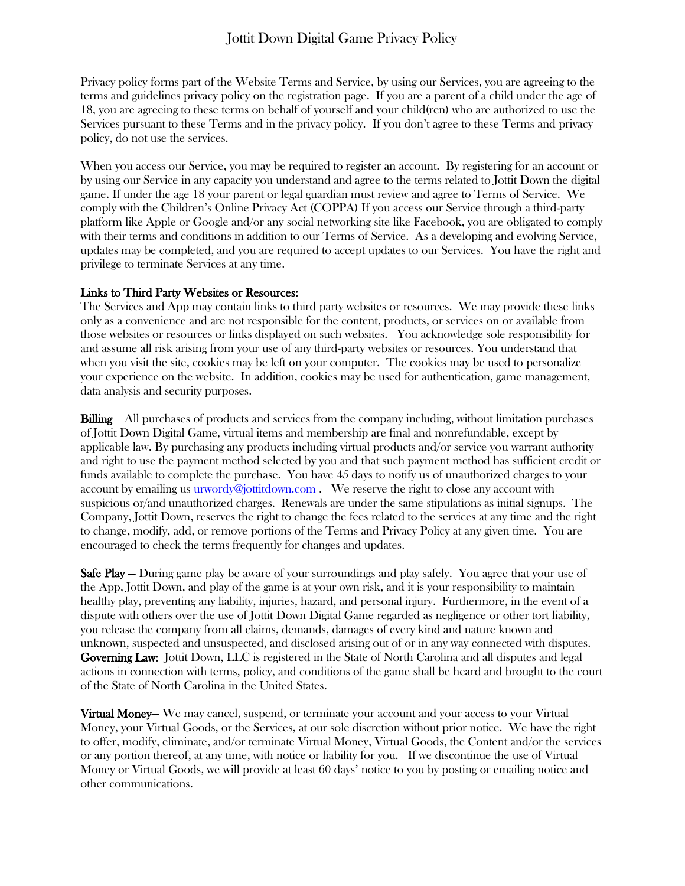Privacy policy forms part of the Website Terms and Service, by using our Services, you are agreeing to the terms and guidelines privacy policy on the registration page. If you are a parent of a child under the age of 18, you are agreeing to these terms on behalf of yourself and your child(ren) who are authorized to use the Services pursuant to these Terms and in the privacy policy. If you don't agree to these Terms and privacy policy, do not use the services.

When you access our Service, you may be required to register an account. By registering for an account or by using our Service in any capacity you understand and agree to the terms related to Jottit Down the digital game. If under the age 18 your parent or legal guardian must review and agree to Terms of Service. We comply with the Children's Online Privacy Act (COPPA) If you access our Service through a third-party platform like Apple or Google and/or any social networking site like Facebook, you are obligated to comply with their terms and conditions in addition to our Terms of Service. As a developing and evolving Service, updates may be completed, and you are required to accept updates to our Services. You have the right and privilege to terminate Services at any time.

## Links to Third Party Websites or Resources:

The Services and App may contain links to third party websites or resources. We may provide these links only as a convenience and are not responsible for the content, products, or services on or available from those websites or resources or links displayed on such websites. You acknowledge sole responsibility for and assume all risk arising from your use of any third-party websites or resources. You understand that when you visit the site, cookies may be left on your computer. The cookies may be used to personalize your experience on the website. In addition, cookies may be used for authentication, game management, data analysis and security purposes.

Billing All purchases of products and services from the company including, without limitation purchases of Jottit Down Digital Game, virtual items and membership are final and nonrefundable, except by applicable law. By purchasing any products including virtual products and/or service you warrant authority and right to use the payment method selected by you and that such payment method has sufficient credit or funds available to complete the purchase. You have 45 days to notify us of unauthorized charges to your account by emailing us  $u\overrightarrow{u}$  [urwordy@jottitdown.com](mailto:urwordy@jottitdown.com). We reserve the right to close any account with suspicious or/and unauthorized charges. Renewals are under the same stipulations as initial signups. The Company, Jottit Down, reserves the right to change the fees related to the services at any time and the right to change, modify, add, or remove portions of the Terms and Privacy Policy at any given time. You are encouraged to check the terms frequently for changes and updates.

Safe Play — During game play be aware of your surroundings and play safely. You agree that your use of the App, Jottit Down, and play of the game is at your own risk, and it is your responsibility to maintain healthy play, preventing any liability, injuries, hazard, and personal injury. Furthermore, in the event of a dispute with others over the use of Jottit Down Digital Game regarded as negligence or other tort liability, you release the company from all claims, demands, damages of every kind and nature known and unknown, suspected and unsuspected, and disclosed arising out of or in any way connected with disputes. Governing Law: Jottit Down, LLC is registered in the State of North Carolina and all disputes and legal actions in connection with terms, policy, and conditions of the game shall be heard and brought to the court of the State of North Carolina in the United States.

Virtual Money— We may cancel, suspend, or terminate your account and your access to your Virtual Money, your Virtual Goods, or the Services, at our sole discretion without prior notice. We have the right to offer, modify, eliminate, and/or terminate Virtual Money, Virtual Goods, the Content and/or the services or any portion thereof, at any time, with notice or liability for you. If we discontinue the use of Virtual Money or Virtual Goods, we will provide at least 60 days' notice to you by posting or emailing notice and other communications.